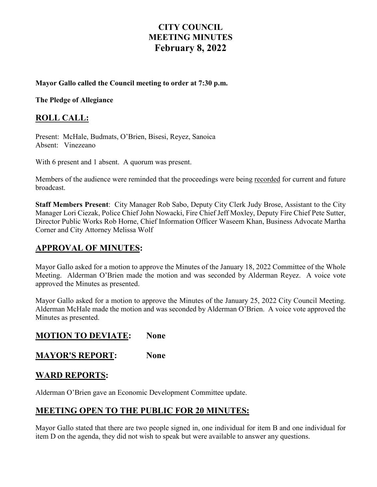# **CITY COUNCIL MEETING MINUTES February 8, 2022**

#### **Mayor Gallo called the Council meeting to order at 7:30 p.m.**

**The Pledge of Allegiance** 

### **ROLL CALL:**

Present: McHale, Budmats, O'Brien, Bisesi, Reyez, Sanoica Absent: Vinezeano

With 6 present and 1 absent. A quorum was present.

Members of the audience were reminded that the proceedings were being recorded for current and future broadcast.

**Staff Members Present**: City Manager Rob Sabo, Deputy City Clerk Judy Brose, Assistant to the City Manager Lori Ciezak, Police Chief John Nowacki, Fire Chief Jeff Moxley, Deputy Fire Chief Pete Sutter, Director Public Works Rob Horne, Chief Information Officer Waseem Khan, Business Advocate Martha Corner and City Attorney Melissa Wolf

### **APPROVAL OF MINUTES:**

Mayor Gallo asked for a motion to approve the Minutes of the January 18, 2022 Committee of the Whole Meeting. Alderman O'Brien made the motion and was seconded by Alderman Reyez. A voice vote approved the Minutes as presented.

Mayor Gallo asked for a motion to approve the Minutes of the January 25, 2022 City Council Meeting. Alderman McHale made the motion and was seconded by Alderman O'Brien. A voice vote approved the Minutes as presented.

### **MOTION TO DEVIATE: None**

### **MAYOR'S REPORT: None**

### **WARD REPORTS:**

Alderman O'Brien gave an Economic Development Committee update.

# **MEETING OPEN TO THE PUBLIC FOR 20 MINUTES:**

Mayor Gallo stated that there are two people signed in, one individual for item B and one individual for item D on the agenda, they did not wish to speak but were available to answer any questions.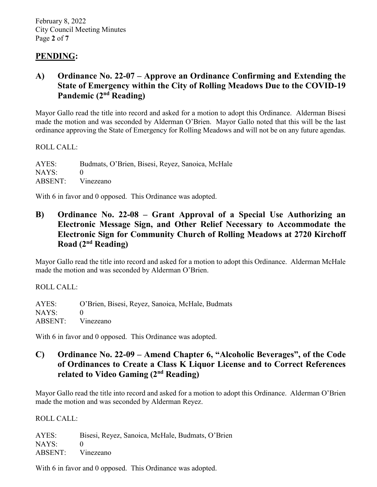# **PENDING:**

# **A) Ordinance No. 22-07 – Approve an Ordinance Confirming and Extending the State of Emergency within the City of Rolling Meadows Due to the COVID-19 Pandemic (2nd Reading)**

Mayor Gallo read the title into record and asked for a motion to adopt this Ordinance. Alderman Bisesi made the motion and was seconded by Alderman O'Brien. Mayor Gallo noted that this will be the last ordinance approving the State of Emergency for Rolling Meadows and will not be on any future agendas.

ROLL CALL:

AYES: Budmats, O'Brien, Bisesi, Reyez, Sanoica, McHale  $NAYS: 0$ ABSENT: Vinezeano

With 6 in favor and 0 opposed. This Ordinance was adopted.

## **B) Ordinance No. 22-08 – Grant Approval of a Special Use Authorizing an Electronic Message Sign, and Other Relief Necessary to Accommodate the Electronic Sign for Community Church of Rolling Meadows at 2720 Kirchoff Road (2nd Reading)**

Mayor Gallo read the title into record and asked for a motion to adopt this Ordinance. Alderman McHale made the motion and was seconded by Alderman O'Brien.

ROLL CALL:

AYES: O'Brien, Bisesi, Reyez, Sanoica, McHale, Budmats NAYS: 0 ABSENT: Vinezeano

With 6 in favor and 0 opposed. This Ordinance was adopted.

## **C) Ordinance No. 22-09 – Amend Chapter 6, "Alcoholic Beverages", of the Code of Ordinances to Create a Class K Liquor License and to Correct References related to Video Gaming (2nd Reading)**

Mayor Gallo read the title into record and asked for a motion to adopt this Ordinance. Alderman O'Brien made the motion and was seconded by Alderman Reyez.

ROLL CALL:

AYES: Bisesi, Reyez, Sanoica, McHale, Budmats, O'Brien NAYS: 0 ABSENT: Vinezeano

With 6 in favor and 0 opposed. This Ordinance was adopted.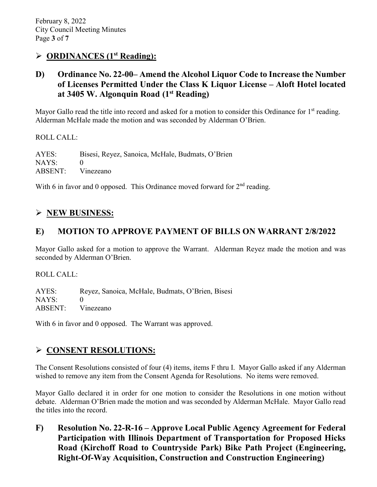### **ORDINANCES (1st Reading):**

## **D) Ordinance No. 22-00– Amend the Alcohol Liquor Code to Increase the Number of Licenses Permitted Under the Class K Liquor License – Aloft Hotel located at 3405 W. Algonquin Road (1st Reading)**

Mayor Gallo read the title into record and asked for a motion to consider this Ordinance for 1<sup>st</sup> reading. Alderman McHale made the motion and was seconded by Alderman O'Brien.

ROLL CALL:

AYES: Bisesi, Reyez, Sanoica, McHale, Budmats, O'Brien NAYS: ABSENT: Vinezeano

With 6 in favor and 0 opposed. This Ordinance moved forward for  $2<sup>nd</sup>$  reading.

# **NEW BUSINESS:**

## **E) MOTION TO APPROVE PAYMENT OF BILLS ON WARRANT 2/8/2022**

Mayor Gallo asked for a motion to approve the Warrant. Alderman Reyez made the motion and was seconded by Alderman O'Brien.

ROLL CALL:

AYES: Reyez, Sanoica, McHale, Budmats, O'Brien, Bisesi NAYS: 0 ABSENT: Vinezeano

With 6 in favor and 0 opposed. The Warrant was approved.

# **CONSENT RESOLUTIONS:**

The Consent Resolutions consisted of four (4) items, items F thru I. Mayor Gallo asked if any Alderman wished to remove any item from the Consent Agenda for Resolutions. No items were removed.

Mayor Gallo declared it in order for one motion to consider the Resolutions in one motion without debate. Alderman O'Brien made the motion and was seconded by Alderman McHale. Mayor Gallo read the titles into the record.

**F) Resolution No. 22-R-16 – Approve Local Public Agency Agreement for Federal Participation with Illinois Department of Transportation for Proposed Hicks Road (Kirchoff Road to Countryside Park) Bike Path Project (Engineering, Right-Of-Way Acquisition, Construction and Construction Engineering)**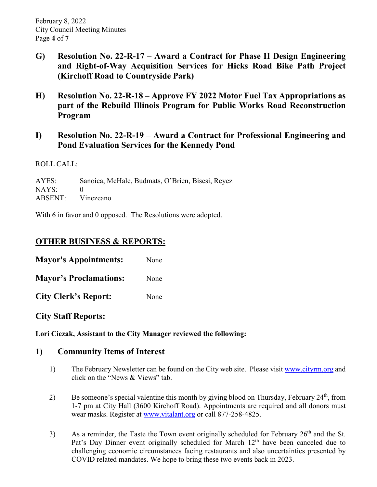- **G) Resolution No. 22-R-17 – Award a Contract for Phase II Design Engineering and Right-of-Way Acquisition Services for Hicks Road Bike Path Project (Kirchoff Road to Countryside Park)**
- **H) Resolution No. 22-R-18 – Approve FY 2022 Motor Fuel Tax Appropriations as part of the Rebuild Illinois Program for Public Works Road Reconstruction Program**
- **I) Resolution No. 22-R-19 – Award a Contract for Professional Engineering and Pond Evaluation Services for the Kennedy Pond**

ROLL CALL:

AYES: Sanoica, McHale, Budmats, O'Brien, Bisesi, Reyez NAYS: 0 ABSENT: Vinezeano

With 6 in favor and 0 opposed. The Resolutions were adopted.

# **OTHER BUSINESS & REPORTS:**

**Mayor's Appointments:** None **Mayor's Proclamations:** None

**City Clerk's Report:** None

**City Staff Reports:** 

**Lori Ciezak, Assistant to the City Manager reviewed the following:** 

### **1) Community Items of Interest**

- 1) The February Newsletter can be found on the City web site. Please visit [www.cityrm.org](http://www.cityrm.org/) and click on the "News & Views" tab.
- 2) Be someone's special valentine this month by giving blood on Thursday, February 24<sup>th</sup>, from 1-7 pm at City Hall (3600 Kirchoff Road). Appointments are required and all donors must wear masks. Register at [www.vitalant.org](http://www.vitalant.org/) or call 877-258-4825.
- 3) As a reminder, the Taste the Town event originally scheduled for February  $26<sup>th</sup>$  and the St. Pat's Day Dinner event originally scheduled for March 12<sup>th</sup> have been canceled due to challenging economic circumstances facing restaurants and also uncertainties presented by COVID related mandates. We hope to bring these two events back in 2023.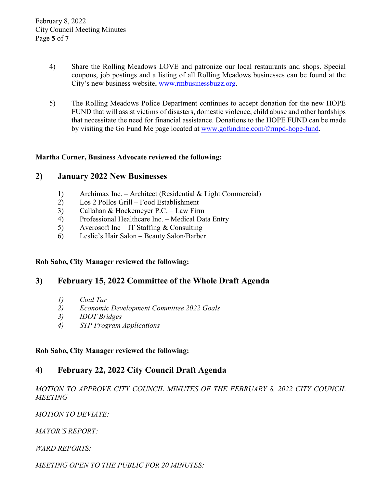- 4) Share the Rolling Meadows LOVE and patronize our local restaurants and shops. Special coupons, job postings and a listing of all Rolling Meadows businesses can be found at the City's new business website, [www.rmbusinessbuzz.org.](http://www.rmbusinessbuzz.org/)
- 5) The Rolling Meadows Police Department continues to accept donation for the new HOPE FUND that will assist victims of disasters, domestic violence, child abuse and other hardships that necessitate the need for financial assistance. Donations to the HOPE FUND can be made by visiting the Go Fund Me page located at [www.gofundme.com/f/rmpd-hope-fund.](http://www.gofundme.com/f/rmpd-hope-fund)

#### **Martha Corner, Business Advocate reviewed the following:**

#### **2) January 2022 New Businesses**

- 1) Archimax Inc. Architect (Residential & Light Commercial)
- 2) Los 2 Pollos Grill Food Establishment
- 3) Callahan & Hockemeyer P.C. Law Firm
- 4) Professional Healthcare Inc. Medical Data Entry
- 5) Averosoft Inc IT Staffing  $&$  Consulting
- 6) Leslie's Hair Salon Beauty Salon/Barber

#### **Rob Sabo, City Manager reviewed the following:**

### **3) February 15, 2022 Committee of the Whole Draft Agenda**

- *1) Coal Tar*
- *2) Economic Development Committee 2022 Goals*
- *3) IDOT Bridges*
- *4) STP Program Applications*

#### **Rob Sabo, City Manager reviewed the following:**

# **4) February 22, 2022 City Council Draft Agenda**

*MOTION TO APPROVE CITY COUNCIL MINUTES OF THE FEBRUARY 8, 2022 CITY COUNCIL MEETING* 

*MOTION TO DEVIATE:*

*MAYOR'S REPORT:*

*WARD REPORTS:*

*MEETING OPEN TO THE PUBLIC FOR 20 MINUTES:*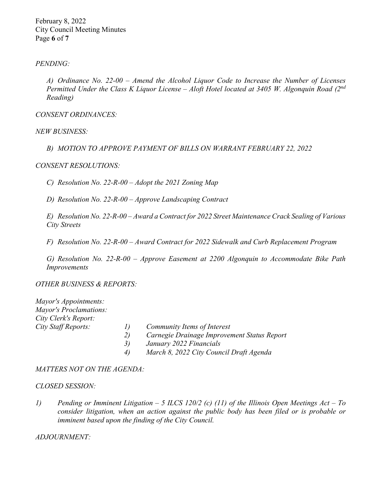February 8, 2022 City Council Meeting Minutes Page **6** of **7**

#### *PENDING:*

*A) Ordinance No. 22-00 – Amend the Alcohol Liquor Code to Increase the Number of Licenses Permitted Under the Class K Liquor License – Aloft Hotel located at 3405 W. Algonquin Road (2nd Reading)*

*CONSENT ORDINANCES:* 

*NEW BUSINESS:*

*B) MOTION TO APPROVE PAYMENT OF BILLS ON WARRANT FEBRUARY 22, 2022*

#### *CONSENT RESOLUTIONS:*

*C) Resolution No. 22-R-00 – Adopt the 2021 Zoning Map*

*D) Resolution No. 22-R-00 – Approve Landscaping Contract*

*E) Resolution No. 22-R-00 – Award a Contract for 2022 Street Maintenance Crack Sealing of Various City Streets*

*F) Resolution No. 22-R-00 – Award Contract for 2022 Sidewalk and Curb Replacement Program*

*G) Resolution No. 22-R-00 – Approve Easement at 2200 Algonquin to Accommodate Bike Path Improvements*

*OTHER BUSINESS & REPORTS:* 

| Mayor's Appointments:         |          |                                             |
|-------------------------------|----------|---------------------------------------------|
| <b>Mayor's Proclamations:</b> |          |                                             |
| City Clerk's Report:          |          |                                             |
| City Staff Reports:           | $\prime$ | Community Items of Interest                 |
|                               | 2)       | Carnegie Drainage Improvement Status Report |
|                               | 3)       | January 2022 Financials                     |
|                               | 4)       | March 8, 2022 City Council Draft Agenda     |

#### *MATTERS NOT ON THE AGENDA:*

#### *CLOSED SESSION:*

*1) Pending or Imminent Litigation – 5 ILCS 120/2 (c) (11) of the Illinois Open Meetings Act – To consider litigation, when an action against the public body has been filed or is probable or imminent based upon the finding of the City Council.* 

#### *ADJOURNMENT:*